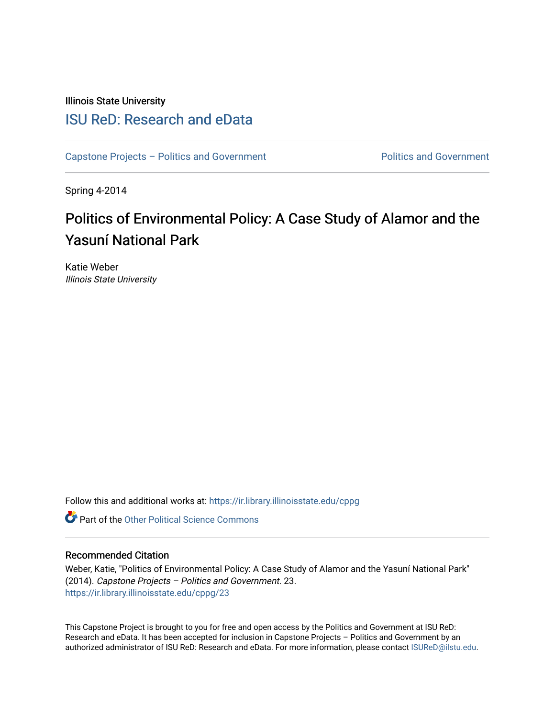Illinois State University

### [ISU ReD: Research and eData](https://ir.library.illinoisstate.edu/)

[Capstone Projects – Politics and Government](https://ir.library.illinoisstate.edu/cppg) Politics and Government

Spring 4-2014

## Politics of Environmental Policy: A Case Study of Alamor and the Yasuní National Park

Katie Weber Illinois State University

Follow this and additional works at: [https://ir.library.illinoisstate.edu/cppg](https://ir.library.illinoisstate.edu/cppg?utm_source=ir.library.illinoisstate.edu%2Fcppg%2F23&utm_medium=PDF&utm_campaign=PDFCoverPages) 

**C** Part of the Other Political Science Commons

#### Recommended Citation

Weber, Katie, "Politics of Environmental Policy: A Case Study of Alamor and the Yasuní National Park" (2014). Capstone Projects – Politics and Government. 23. [https://ir.library.illinoisstate.edu/cppg/23](https://ir.library.illinoisstate.edu/cppg/23?utm_source=ir.library.illinoisstate.edu%2Fcppg%2F23&utm_medium=PDF&utm_campaign=PDFCoverPages)

This Capstone Project is brought to you for free and open access by the Politics and Government at ISU ReD: Research and eData. It has been accepted for inclusion in Capstone Projects – Politics and Government by an authorized administrator of ISU ReD: Research and eData. For more information, please contact [ISUReD@ilstu.edu.](mailto:ISUReD@ilstu.edu)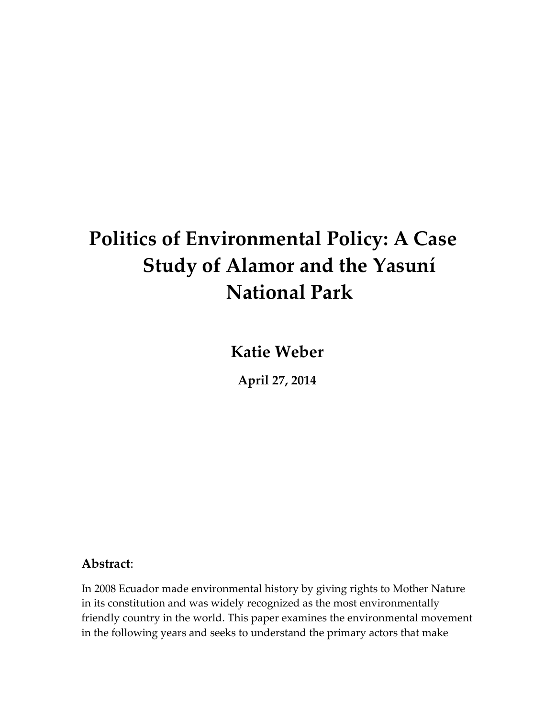# Politics of Environmental Policy: A Case Study of Alamor and the Yasuní National Park

Katie Weber

April 27, 2014

### Abstract:

In 2008 Ecuador made environmental history by giving rights to Mother Nature in its constitution and was widely recognized as the most environmentally friendly country in the world. This paper examines the environmental movement in the following years and seeks to understand the primary actors that make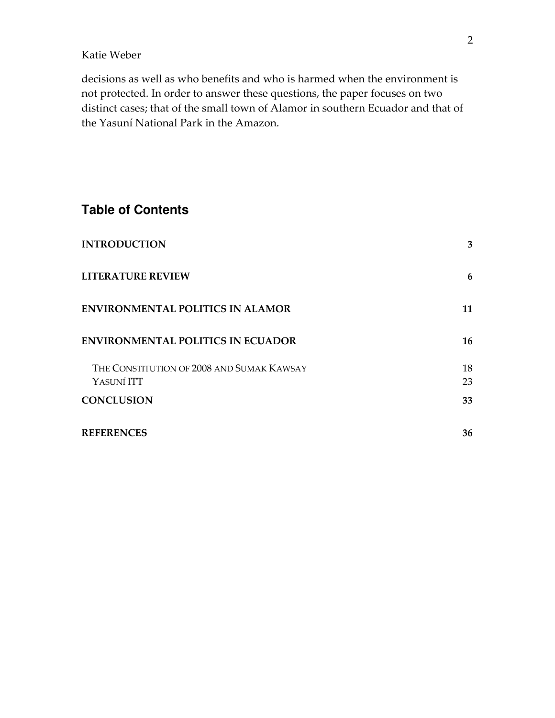decisions as well as who benefits and who is harmed when the environment is not protected. In order to answer these questions, the paper focuses on two distinct cases; that of the small town of Alamor in southern Ecuador and that of the Yasuní National Park in the Amazon.

### **Table of Contents**

| <b>INTRODUCTION</b>                                     | 3        |
|---------------------------------------------------------|----------|
| <b>LITERATURE REVIEW</b>                                | 6        |
| <b>ENVIRONMENTAL POLITICS IN ALAMOR</b>                 | 11       |
| <b>ENVIRONMENTAL POLITICS IN ECUADOR</b>                | 16       |
| THE CONSTITUTION OF 2008 AND SUMAK KAWSAY<br>YASUNÍ ITT | 18<br>23 |
| <b>CONCLUSION</b>                                       | 33       |
| <b>REFERENCES</b>                                       | 36       |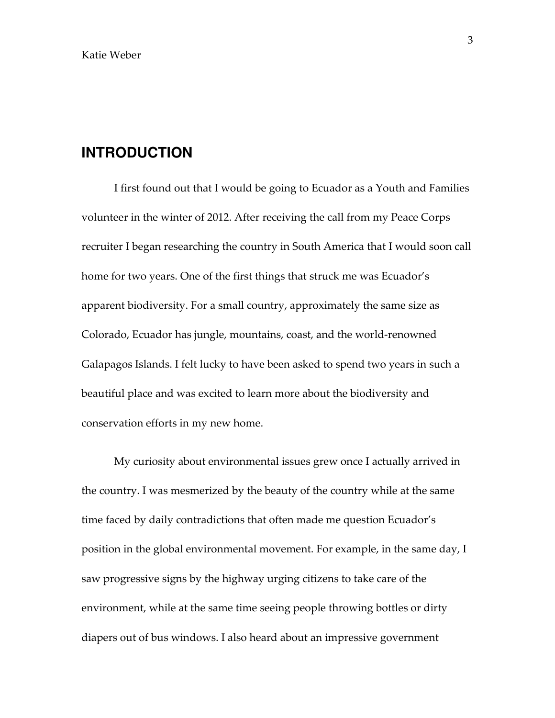### **INTRODUCTION**

 I first found out that I would be going to Ecuador as a Youth and Families volunteer in the winter of 2012. After receiving the call from my Peace Corps recruiter I began researching the country in South America that I would soon call home for two years. One of the first things that struck me was Ecuador's apparent biodiversity. For a small country, approximately the same size as Colorado, Ecuador has jungle, mountains, coast, and the world-renowned Galapagos Islands. I felt lucky to have been asked to spend two years in such a beautiful place and was excited to learn more about the biodiversity and conservation efforts in my new home.

My curiosity about environmental issues grew once I actually arrived in the country. I was mesmerized by the beauty of the country while at the same time faced by daily contradictions that often made me question Ecuador's position in the global environmental movement. For example, in the same day, I saw progressive signs by the highway urging citizens to take care of the environment, while at the same time seeing people throwing bottles or dirty diapers out of bus windows. I also heard about an impressive government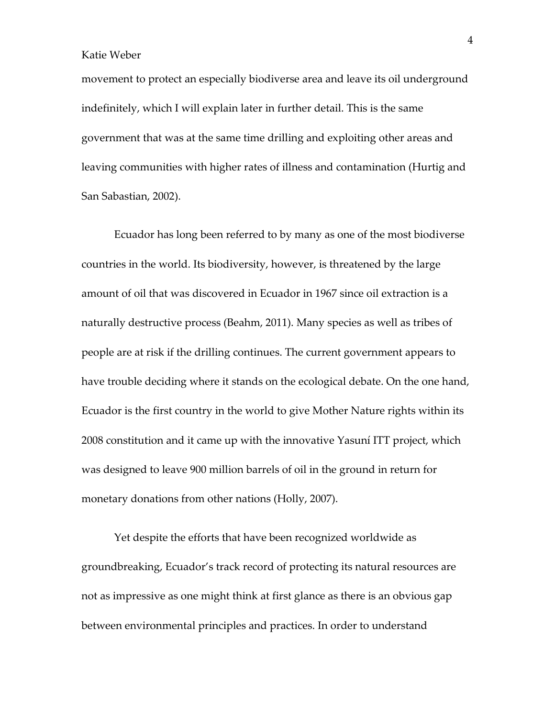movement to protect an especially biodiverse area and leave its oil underground indefinitely, which I will explain later in further detail. This is the same government that was at the same time drilling and exploiting other areas and leaving communities with higher rates of illness and contamination (Hurtig and San Sabastian, 2002).

Ecuador has long been referred to by many as one of the most biodiverse countries in the world. Its biodiversity, however, is threatened by the large amount of oil that was discovered in Ecuador in 1967 since oil extraction is a naturally destructive process (Beahm, 2011). Many species as well as tribes of people are at risk if the drilling continues. The current government appears to have trouble deciding where it stands on the ecological debate. On the one hand, Ecuador is the first country in the world to give Mother Nature rights within its 2008 constitution and it came up with the innovative Yasuní ITT project, which was designed to leave 900 million barrels of oil in the ground in return for monetary donations from other nations (Holly, 2007).

Yet despite the efforts that have been recognized worldwide as groundbreaking, Ecuador's track record of protecting its natural resources are not as impressive as one might think at first glance as there is an obvious gap between environmental principles and practices. In order to understand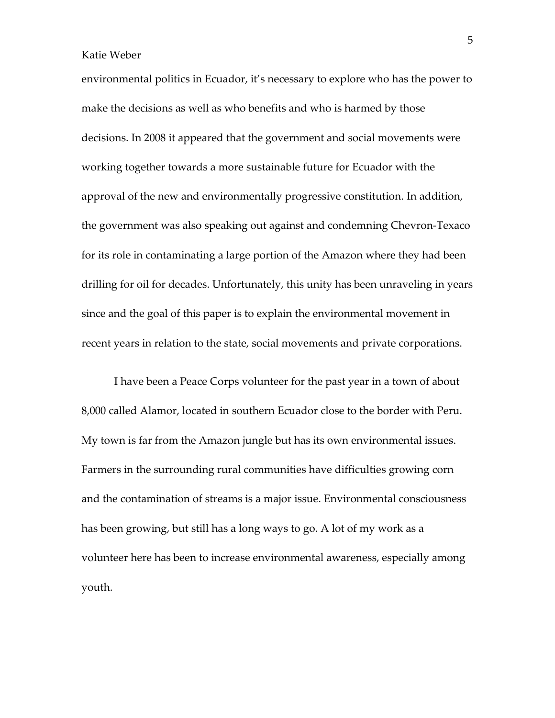environmental politics in Ecuador, it's necessary to explore who has the power to make the decisions as well as who benefits and who is harmed by those decisions. In 2008 it appeared that the government and social movements were working together towards a more sustainable future for Ecuador with the approval of the new and environmentally progressive constitution. In addition, the government was also speaking out against and condemning Chevron-Texaco for its role in contaminating a large portion of the Amazon where they had been drilling for oil for decades. Unfortunately, this unity has been unraveling in years since and the goal of this paper is to explain the environmental movement in recent years in relation to the state, social movements and private corporations.

I have been a Peace Corps volunteer for the past year in a town of about 8,000 called Alamor, located in southern Ecuador close to the border with Peru. My town is far from the Amazon jungle but has its own environmental issues. Farmers in the surrounding rural communities have difficulties growing corn and the contamination of streams is a major issue. Environmental consciousness has been growing, but still has a long ways to go. A lot of my work as a volunteer here has been to increase environmental awareness, especially among youth.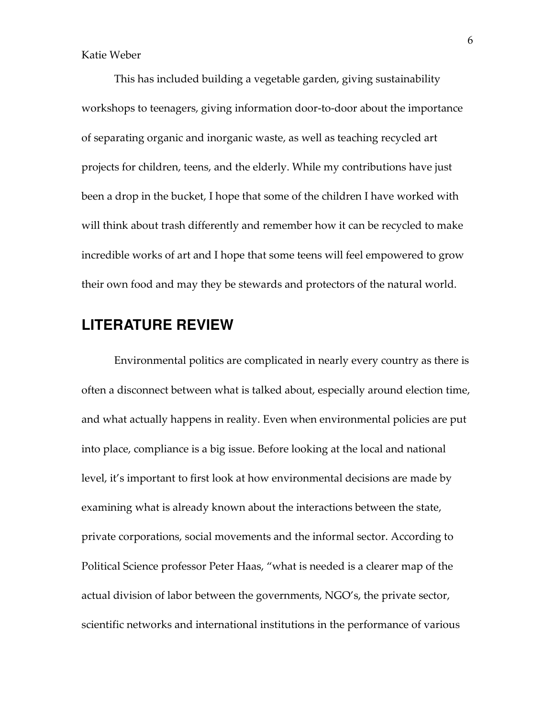This has included building a vegetable garden, giving sustainability workshops to teenagers, giving information door-to-door about the importance of separating organic and inorganic waste, as well as teaching recycled art projects for children, teens, and the elderly. While my contributions have just been a drop in the bucket, I hope that some of the children I have worked with will think about trash differently and remember how it can be recycled to make incredible works of art and I hope that some teens will feel empowered to grow their own food and may they be stewards and protectors of the natural world.

### **LITERATURE REVIEW**

Environmental politics are complicated in nearly every country as there is often a disconnect between what is talked about, especially around election time, and what actually happens in reality. Even when environmental policies are put into place, compliance is a big issue. Before looking at the local and national level, it's important to first look at how environmental decisions are made by examining what is already known about the interactions between the state, private corporations, social movements and the informal sector. According to Political Science professor Peter Haas, "what is needed is a clearer map of the actual division of labor between the governments, NGO's, the private sector, scientific networks and international institutions in the performance of various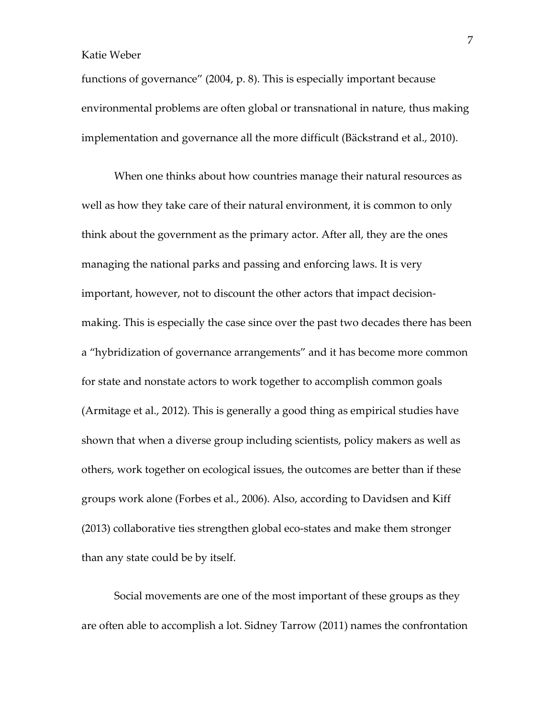functions of governance" (2004, p. 8). This is especially important because environmental problems are often global or transnational in nature, thus making implementation and governance all the more difficult (Bäckstrand et al., 2010).

When one thinks about how countries manage their natural resources as well as how they take care of their natural environment, it is common to only think about the government as the primary actor. After all, they are the ones managing the national parks and passing and enforcing laws. It is very important, however, not to discount the other actors that impact decisionmaking. This is especially the case since over the past two decades there has been a "hybridization of governance arrangements" and it has become more common for state and nonstate actors to work together to accomplish common goals (Armitage et al., 2012). This is generally a good thing as empirical studies have shown that when a diverse group including scientists, policy makers as well as others, work together on ecological issues, the outcomes are better than if these groups work alone (Forbes et al., 2006). Also, according to Davidsen and Kiff (2013) collaborative ties strengthen global eco-states and make them stronger than any state could be by itself.

Social movements are one of the most important of these groups as they are often able to accomplish a lot. Sidney Tarrow (2011) names the confrontation

7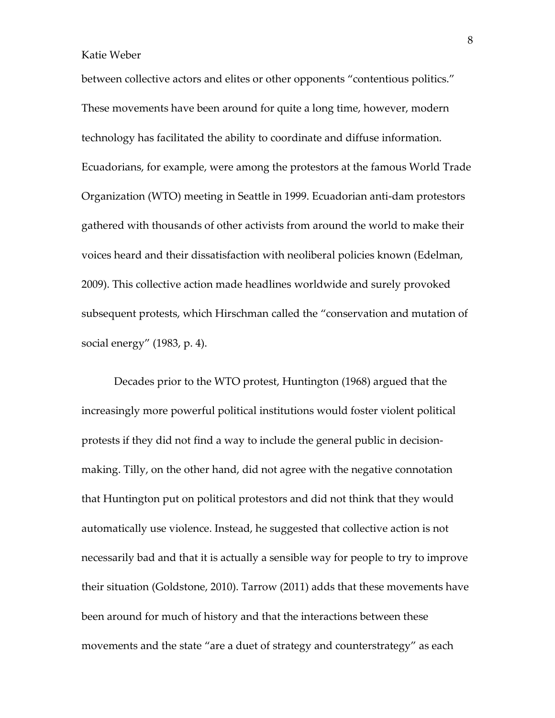between collective actors and elites or other opponents "contentious politics." These movements have been around for quite a long time, however, modern technology has facilitated the ability to coordinate and diffuse information. Ecuadorians, for example, were among the protestors at the famous World Trade Organization (WTO) meeting in Seattle in 1999. Ecuadorian anti-dam protestors gathered with thousands of other activists from around the world to make their voices heard and their dissatisfaction with neoliberal policies known (Edelman, 2009). This collective action made headlines worldwide and surely provoked subsequent protests, which Hirschman called the "conservation and mutation of social energy" (1983, p. 4).

Decades prior to the WTO protest, Huntington (1968) argued that the increasingly more powerful political institutions would foster violent political protests if they did not find a way to include the general public in decisionmaking. Tilly, on the other hand, did not agree with the negative connotation that Huntington put on political protestors and did not think that they would automatically use violence. Instead, he suggested that collective action is not necessarily bad and that it is actually a sensible way for people to try to improve their situation (Goldstone, 2010). Tarrow (2011) adds that these movements have been around for much of history and that the interactions between these movements and the state "are a duet of strategy and counterstrategy" as each

8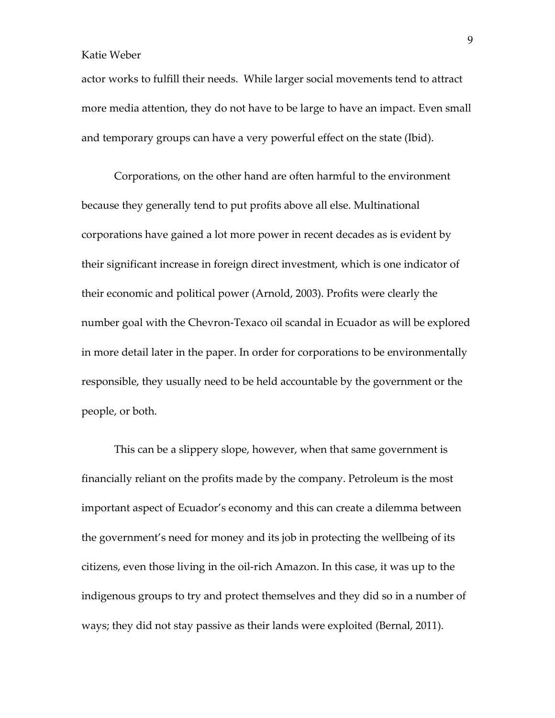actor works to fulfill their needs. While larger social movements tend to attract more media attention, they do not have to be large to have an impact. Even small and temporary groups can have a very powerful effect on the state (Ibid).

Corporations, on the other hand are often harmful to the environment because they generally tend to put profits above all else. Multinational corporations have gained a lot more power in recent decades as is evident by their significant increase in foreign direct investment, which is one indicator of their economic and political power (Arnold, 2003). Profits were clearly the number goal with the Chevron-Texaco oil scandal in Ecuador as will be explored in more detail later in the paper. In order for corporations to be environmentally responsible, they usually need to be held accountable by the government or the people, or both.

This can be a slippery slope, however, when that same government is financially reliant on the profits made by the company. Petroleum is the most important aspect of Ecuador's economy and this can create a dilemma between the government's need for money and its job in protecting the wellbeing of its citizens, even those living in the oil-rich Amazon. In this case, it was up to the indigenous groups to try and protect themselves and they did so in a number of ways; they did not stay passive as their lands were exploited (Bernal, 2011).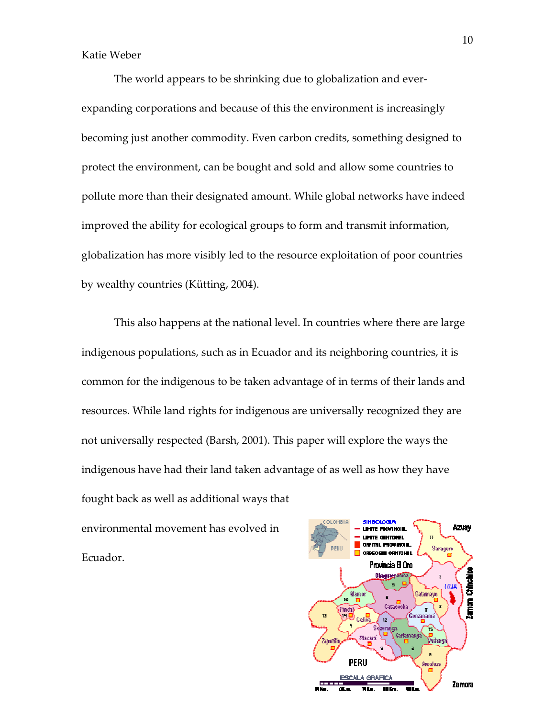The world appears to be shrinking due to globalization and everexpanding corporations and because of this the environment is increasingly becoming just another commodity. Even carbon credits, something designed to protect the environment, can be bought and sold and allow some countries to pollute more than their designated amount. While global networks have indeed improved the ability for ecological groups to form and transmit information, globalization has more visibly led to the resource exploitation of poor countries by wealthy countries (Kütting, 2004).

This also happens at the national level. In countries where there are large indigenous populations, such as in Ecuador and its neighboring countries, it is common for the indigenous to be taken advantage of in terms of their lands and resources. While land rights for indigenous are universally recognized they are not universally respected (Barsh, 2001). This paper will explore the ways the indigenous have had their land taken advantage of as well as how they have fought back as well as additional ways that

environmental movement has evolved in Ecuador.

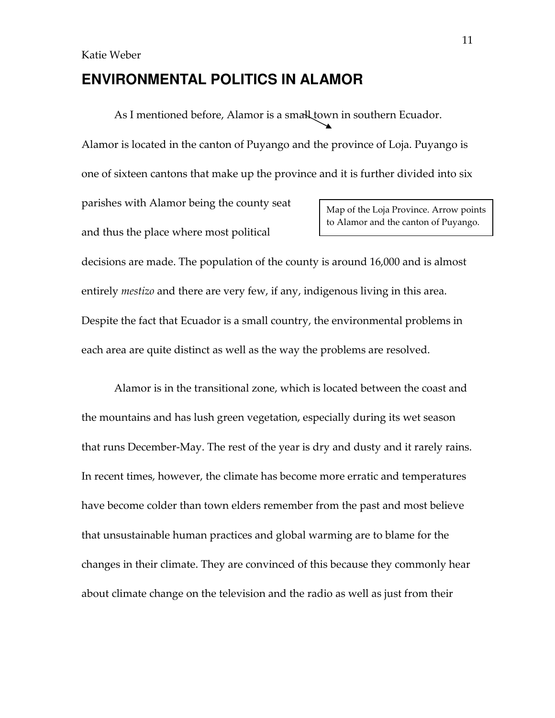### **ENVIRONMENTAL POLITICS IN ALAMOR**

As I mentioned before, Alamor is a small town in southern Ecuador.

Alamor is located in the canton of Puyango and the province of Loja. Puyango is

one of sixteen cantons that make up the province and it is further divided into six

parishes with Alamor being the county seat and thus the place where most political

Map of the Loja Province. Arrow points to Alamor and the canton of Puyango.

decisions are made. The population of the county is around 16,000 and is almost entirely mestizo and there are very few, if any, indigenous living in this area. Despite the fact that Ecuador is a small country, the environmental problems in each area are quite distinct as well as the way the problems are resolved.

Alamor is in the transitional zone, which is located between the coast and the mountains and has lush green vegetation, especially during its wet season that runs December-May. The rest of the year is dry and dusty and it rarely rains. In recent times, however, the climate has become more erratic and temperatures have become colder than town elders remember from the past and most believe that unsustainable human practices and global warming are to blame for the changes in their climate. They are convinced of this because they commonly hear about climate change on the television and the radio as well as just from their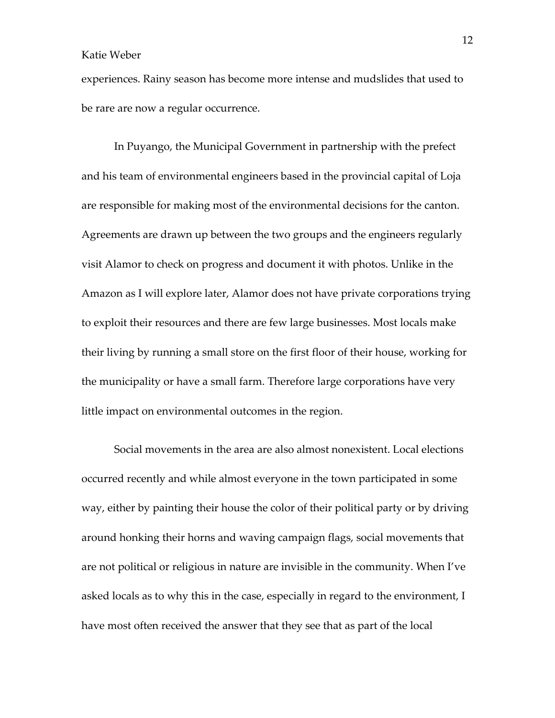experiences. Rainy season has become more intense and mudslides that used to be rare are now a regular occurrence.

In Puyango, the Municipal Government in partnership with the prefect and his team of environmental engineers based in the provincial capital of Loja are responsible for making most of the environmental decisions for the canton. Agreements are drawn up between the two groups and the engineers regularly visit Alamor to check on progress and document it with photos. Unlike in the Amazon as I will explore later, Alamor does not have private corporations trying to exploit their resources and there are few large businesses. Most locals make their living by running a small store on the first floor of their house, working for the municipality or have a small farm. Therefore large corporations have very little impact on environmental outcomes in the region.

Social movements in the area are also almost nonexistent. Local elections occurred recently and while almost everyone in the town participated in some way, either by painting their house the color of their political party or by driving around honking their horns and waving campaign flags, social movements that are not political or religious in nature are invisible in the community. When I've asked locals as to why this in the case, especially in regard to the environment, I have most often received the answer that they see that as part of the local

12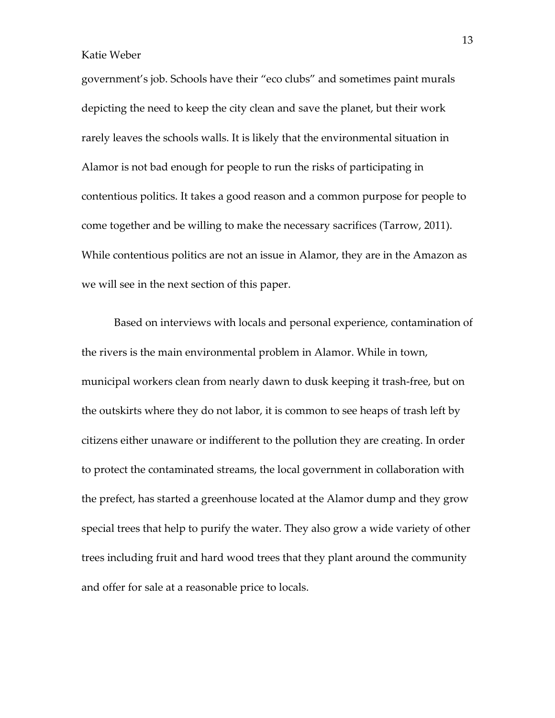government's job. Schools have their "eco clubs" and sometimes paint murals depicting the need to keep the city clean and save the planet, but their work rarely leaves the schools walls. It is likely that the environmental situation in Alamor is not bad enough for people to run the risks of participating in contentious politics. It takes a good reason and a common purpose for people to come together and be willing to make the necessary sacrifices (Tarrow, 2011). While contentious politics are not an issue in Alamor, they are in the Amazon as we will see in the next section of this paper.

 Based on interviews with locals and personal experience, contamination of the rivers is the main environmental problem in Alamor. While in town, municipal workers clean from nearly dawn to dusk keeping it trash-free, but on the outskirts where they do not labor, it is common to see heaps of trash left by citizens either unaware or indifferent to the pollution they are creating. In order to protect the contaminated streams, the local government in collaboration with the prefect, has started a greenhouse located at the Alamor dump and they grow special trees that help to purify the water. They also grow a wide variety of other trees including fruit and hard wood trees that they plant around the community and offer for sale at a reasonable price to locals.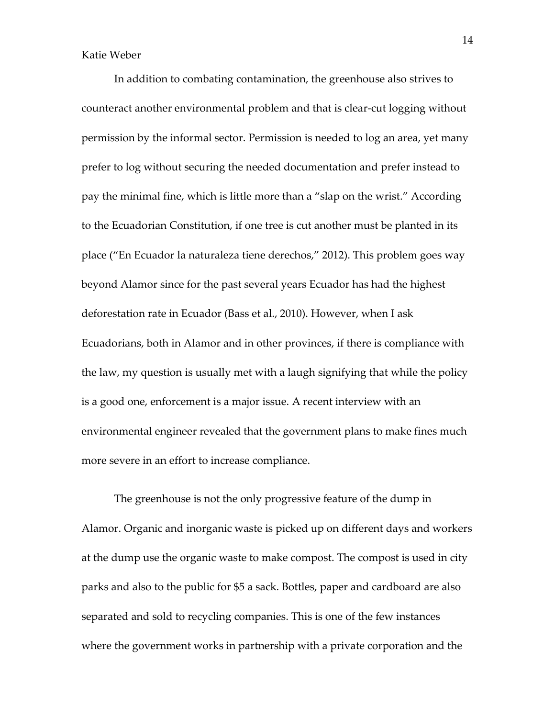In addition to combating contamination, the greenhouse also strives to counteract another environmental problem and that is clear-cut logging without permission by the informal sector. Permission is needed to log an area, yet many prefer to log without securing the needed documentation and prefer instead to pay the minimal fine, which is little more than a "slap on the wrist." According to the Ecuadorian Constitution, if one tree is cut another must be planted in its place ("En Ecuador la naturaleza tiene derechos," 2012). This problem goes way beyond Alamor since for the past several years Ecuador has had the highest deforestation rate in Ecuador (Bass et al., 2010). However, when I ask Ecuadorians, both in Alamor and in other provinces, if there is compliance with the law, my question is usually met with a laugh signifying that while the policy is a good one, enforcement is a major issue. A recent interview with an environmental engineer revealed that the government plans to make fines much more severe in an effort to increase compliance.

The greenhouse is not the only progressive feature of the dump in Alamor. Organic and inorganic waste is picked up on different days and workers at the dump use the organic waste to make compost. The compost is used in city parks and also to the public for \$5 a sack. Bottles, paper and cardboard are also separated and sold to recycling companies. This is one of the few instances where the government works in partnership with a private corporation and the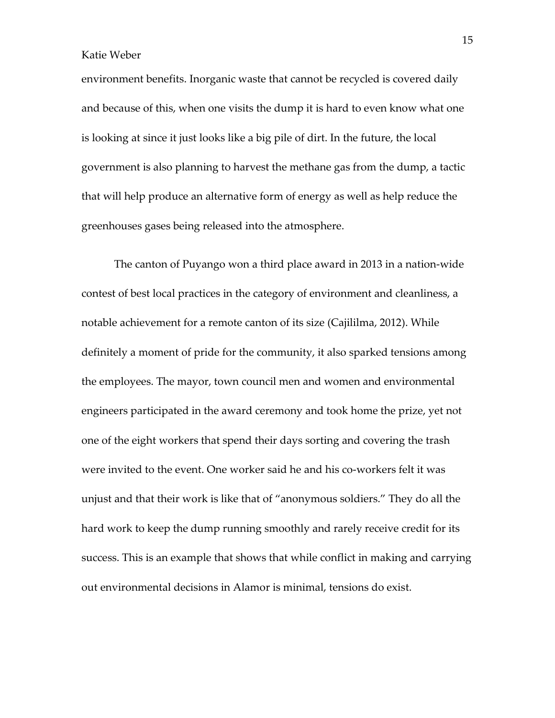environment benefits. Inorganic waste that cannot be recycled is covered daily and because of this, when one visits the dump it is hard to even know what one is looking at since it just looks like a big pile of dirt. In the future, the local government is also planning to harvest the methane gas from the dump, a tactic that will help produce an alternative form of energy as well as help reduce the greenhouses gases being released into the atmosphere.

The canton of Puyango won a third place award in 2013 in a nation-wide contest of best local practices in the category of environment and cleanliness, a notable achievement for a remote canton of its size (Cajililma, 2012). While definitely a moment of pride for the community, it also sparked tensions among the employees. The mayor, town council men and women and environmental engineers participated in the award ceremony and took home the prize, yet not one of the eight workers that spend their days sorting and covering the trash were invited to the event. One worker said he and his co-workers felt it was unjust and that their work is like that of "anonymous soldiers." They do all the hard work to keep the dump running smoothly and rarely receive credit for its success. This is an example that shows that while conflict in making and carrying out environmental decisions in Alamor is minimal, tensions do exist.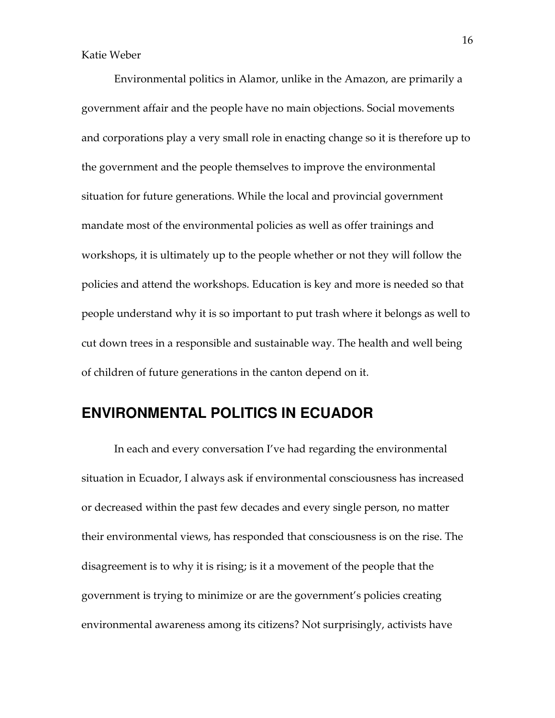Environmental politics in Alamor, unlike in the Amazon, are primarily a government affair and the people have no main objections. Social movements and corporations play a very small role in enacting change so it is therefore up to the government and the people themselves to improve the environmental situation for future generations. While the local and provincial government mandate most of the environmental policies as well as offer trainings and workshops, it is ultimately up to the people whether or not they will follow the policies and attend the workshops. Education is key and more is needed so that people understand why it is so important to put trash where it belongs as well to cut down trees in a responsible and sustainable way. The health and well being of children of future generations in the canton depend on it.

### **ENVIRONMENTAL POLITICS IN ECUADOR**

 In each and every conversation I've had regarding the environmental situation in Ecuador, I always ask if environmental consciousness has increased or decreased within the past few decades and every single person, no matter their environmental views, has responded that consciousness is on the rise. The disagreement is to why it is rising; is it a movement of the people that the government is trying to minimize or are the government's policies creating environmental awareness among its citizens? Not surprisingly, activists have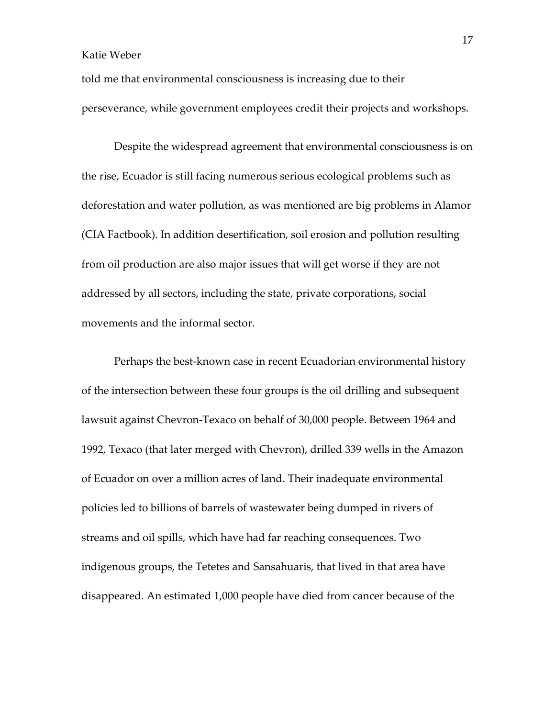told me that environmental consciousness is increasing due to their perseverance, while government employees credit their projects and workshops.

 Despite the widespread agreement that environmental consciousness is on the rise, Ecuador is still facing numerous serious ecological problems such as deforestation and water pollution, as was mentioned are big problems in Alamor (CIA Factbook). In addition desertification, soil erosion and pollution resulting from oil production are also major issues that will get worse if they are not addressed by all sectors, including the state, private corporations, social movements and the informal sector.

 Perhaps the best-known case in recent Ecuadorian environmental history of the intersection between these four groups is the oil drilling and subsequent lawsuit against Chevron-Texaco on behalf of 30,000 people. Between 1964 and 1992, Texaco (that later merged with Chevron), drilled 339 wells in the Amazon of Ecuador on over a million acres of land. Their inadequate environmental policies led to billions of barrels of wastewater being dumped in rivers of streams and oil spills, which have had far reaching consequences. Two indigenous groups, the Tetetes and Sansahuaris, that lived in that area have disappeared. An estimated 1,000 people have died from cancer because of the

17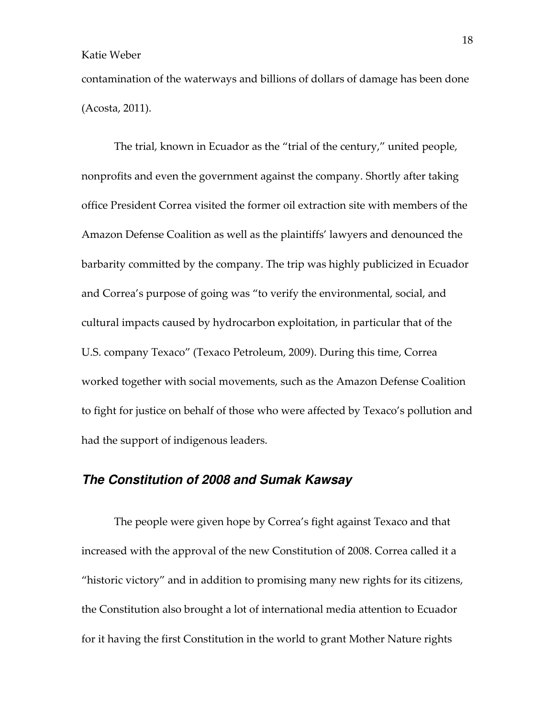contamination of the waterways and billions of dollars of damage has been done (Acosta, 2011).

 The trial, known in Ecuador as the "trial of the century," united people, nonprofits and even the government against the company. Shortly after taking office President Correa visited the former oil extraction site with members of the Amazon Defense Coalition as well as the plaintiffs' lawyers and denounced the barbarity committed by the company. The trip was highly publicized in Ecuador and Correa's purpose of going was "to verify the environmental, social, and cultural impacts caused by hydrocarbon exploitation, in particular that of the U.S. company Texaco" (Texaco Petroleum, 2009). During this time, Correa worked together with social movements, such as the Amazon Defense Coalition to fight for justice on behalf of those who were affected by Texaco's pollution and had the support of indigenous leaders.

### **The Constitution of 2008 and Sumak Kawsay**

The people were given hope by Correa's fight against Texaco and that increased with the approval of the new Constitution of 2008. Correa called it a "historic victory" and in addition to promising many new rights for its citizens, the Constitution also brought a lot of international media attention to Ecuador for it having the first Constitution in the world to grant Mother Nature rights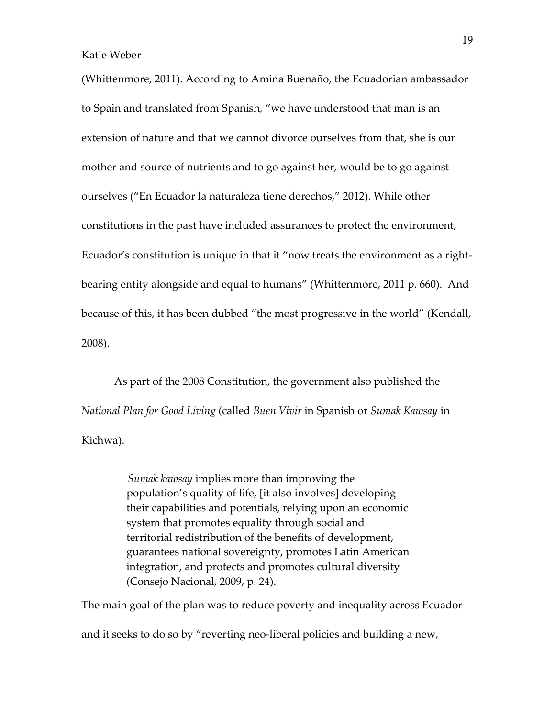(Whittenmore, 2011). According to Amina Buenaño, the Ecuadorian ambassador to Spain and translated from Spanish, "we have understood that man is an extension of nature and that we cannot divorce ourselves from that, she is our mother and source of nutrients and to go against her, would be to go against ourselves ("En Ecuador la naturaleza tiene derechos," 2012). While other constitutions in the past have included assurances to protect the environment, Ecuador's constitution is unique in that it "now treats the environment as a rightbearing entity alongside and equal to humans" (Whittenmore, 2011 p. 660). And because of this, it has been dubbed "the most progressive in the world" (Kendall, 2008).

As part of the 2008 Constitution, the government also published the National Plan for Good Living (called Buen Vivir in Spanish or Sumak Kawsay in Kichwa).

> Sumak kawsay implies more than improving the population's quality of life, [it also involves] developing their capabilities and potentials, relying upon an economic system that promotes equality through social and territorial redistribution of the benefits of development, guarantees national sovereignty, promotes Latin American integration, and protects and promotes cultural diversity (Consejo Nacional, 2009, p. 24).

The main goal of the plan was to reduce poverty and inequality across Ecuador

and it seeks to do so by "reverting neo-liberal policies and building a new,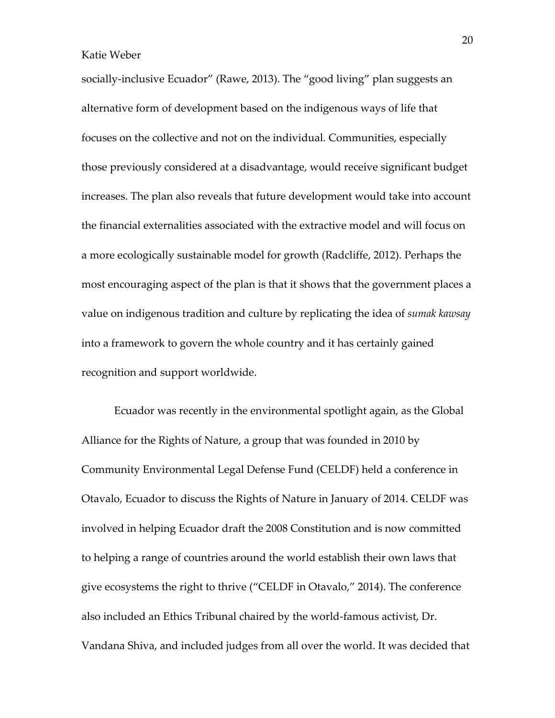socially-inclusive Ecuador" (Rawe, 2013). The "good living" plan suggests an alternative form of development based on the indigenous ways of life that focuses on the collective and not on the individual. Communities, especially those previously considered at a disadvantage, would receive significant budget increases. The plan also reveals that future development would take into account the financial externalities associated with the extractive model and will focus on a more ecologically sustainable model for growth (Radcliffe, 2012). Perhaps the most encouraging aspect of the plan is that it shows that the government places a value on indigenous tradition and culture by replicating the idea of sumak kawsay into a framework to govern the whole country and it has certainly gained recognition and support worldwide.

Ecuador was recently in the environmental spotlight again, as the Global Alliance for the Rights of Nature, a group that was founded in 2010 by Community Environmental Legal Defense Fund (CELDF) held a conference in Otavalo, Ecuador to discuss the Rights of Nature in January of 2014. CELDF was involved in helping Ecuador draft the 2008 Constitution and is now committed to helping a range of countries around the world establish their own laws that give ecosystems the right to thrive ("CELDF in Otavalo," 2014). The conference also included an Ethics Tribunal chaired by the world-famous activist, Dr. Vandana Shiva, and included judges from all over the world. It was decided that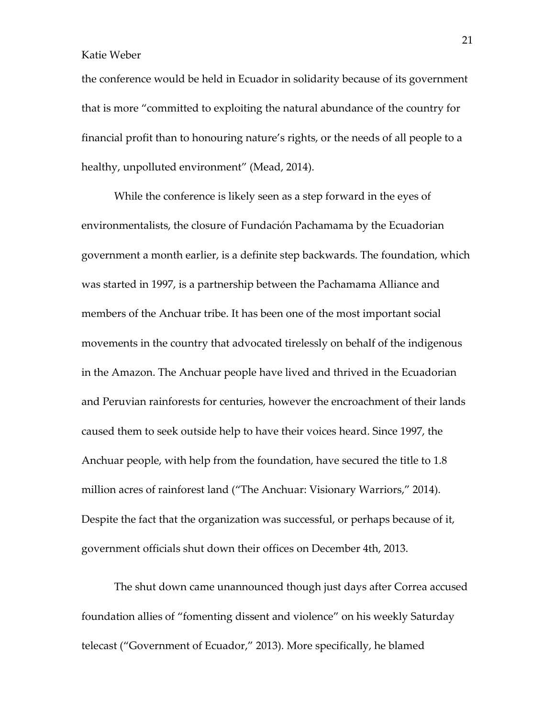the conference would be held in Ecuador in solidarity because of its government that is more "committed to exploiting the natural abundance of the country for financial profit than to honouring nature's rights, or the needs of all people to a healthy, unpolluted environment" (Mead, 2014).

While the conference is likely seen as a step forward in the eyes of environmentalists, the closure of Fundación Pachamama by the Ecuadorian government a month earlier, is a definite step backwards. The foundation, which was started in 1997, is a partnership between the Pachamama Alliance and members of the Anchuar tribe. It has been one of the most important social movements in the country that advocated tirelessly on behalf of the indigenous in the Amazon. The Anchuar people have lived and thrived in the Ecuadorian and Peruvian rainforests for centuries, however the encroachment of their lands caused them to seek outside help to have their voices heard. Since 1997, the Anchuar people, with help from the foundation, have secured the title to 1.8 million acres of rainforest land ("The Anchuar: Visionary Warriors," 2014). Despite the fact that the organization was successful, or perhaps because of it, government officials shut down their offices on December 4th, 2013.

The shut down came unannounced though just days after Correa accused foundation allies of "fomenting dissent and violence" on his weekly Saturday telecast ("Government of Ecuador," 2013). More specifically, he blamed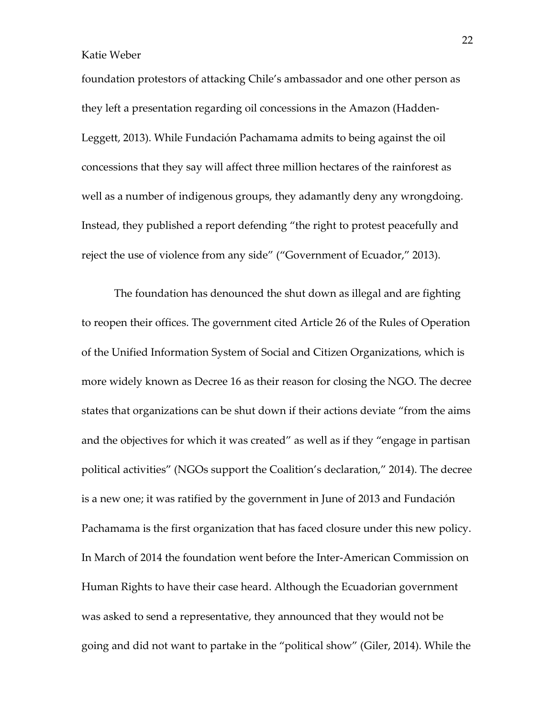foundation protestors of attacking Chile's ambassador and one other person as they left a presentation regarding oil concessions in the Amazon (Hadden-Leggett, 2013). While Fundación Pachamama admits to being against the oil concessions that they say will affect three million hectares of the rainforest as well as a number of indigenous groups, they adamantly deny any wrongdoing. Instead, they published a report defending "the right to protest peacefully and reject the use of violence from any side" ("Government of Ecuador," 2013).

The foundation has denounced the shut down as illegal and are fighting to reopen their offices. The government cited Article 26 of the Rules of Operation of the Unified Information System of Social and Citizen Organizations, which is more widely known as Decree 16 as their reason for closing the NGO. The decree states that organizations can be shut down if their actions deviate "from the aims and the objectives for which it was created" as well as if they "engage in partisan political activities" (NGOs support the Coalition's declaration," 2014). The decree is a new one; it was ratified by the government in June of 2013 and Fundación Pachamama is the first organization that has faced closure under this new policy. In March of 2014 the foundation went before the Inter-American Commission on Human Rights to have their case heard. Although the Ecuadorian government was asked to send a representative, they announced that they would not be going and did not want to partake in the "political show" (Giler, 2014). While the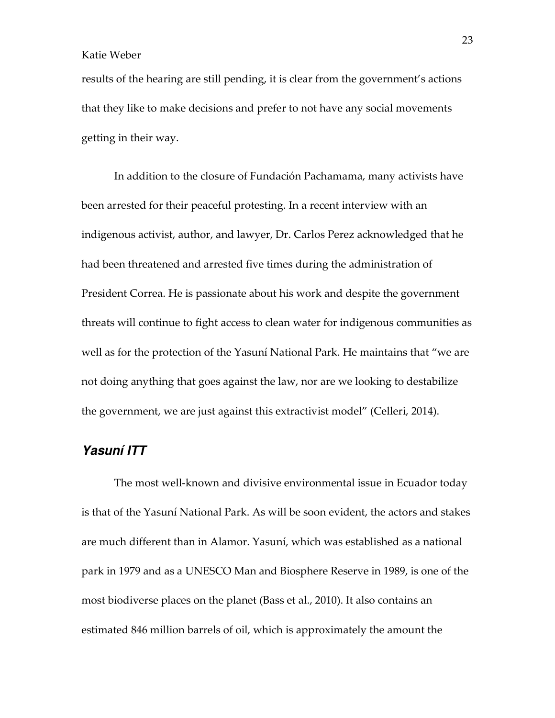results of the hearing are still pending, it is clear from the government's actions that they like to make decisions and prefer to not have any social movements getting in their way.

In addition to the closure of Fundación Pachamama, many activists have been arrested for their peaceful protesting. In a recent interview with an indigenous activist, author, and lawyer, Dr. Carlos Perez acknowledged that he had been threatened and arrested five times during the administration of President Correa. He is passionate about his work and despite the government threats will continue to fight access to clean water for indigenous communities as well as for the protection of the Yasuní National Park. He maintains that "we are not doing anything that goes against the law, nor are we looking to destabilize the government, we are just against this extractivist model" (Celleri, 2014).

### **Yasuní ITT**

 The most well-known and divisive environmental issue in Ecuador today is that of the Yasuní National Park. As will be soon evident, the actors and stakes are much different than in Alamor. Yasuní, which was established as a national park in 1979 and as a UNESCO Man and Biosphere Reserve in 1989, is one of the most biodiverse places on the planet (Bass et al., 2010). It also contains an estimated 846 million barrels of oil, which is approximately the amount the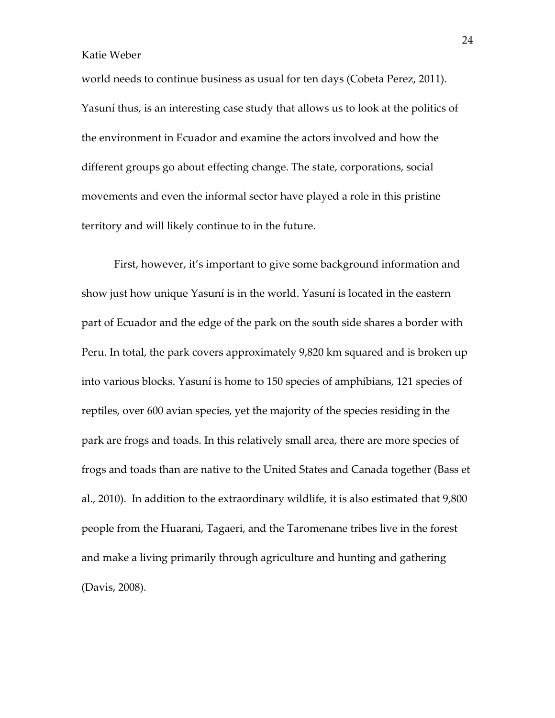world needs to continue business as usual for ten days (Cobeta Perez, 2011). Yasuní thus, is an interesting case study that allows us to look at the politics of the environment in Ecuador and examine the actors involved and how the different groups go about effecting change. The state, corporations, social movements and even the informal sector have played a role in this pristine territory and will likely continue to in the future.

First, however, it's important to give some background information and show just how unique Yasuní is in the world. Yasuní is located in the eastern part of Ecuador and the edge of the park on the south side shares a border with Peru. In total, the park covers approximately 9,820 km squared and is broken up into various blocks. Yasuní is home to 150 species of amphibians, 121 species of reptiles, over 600 avian species, yet the majority of the species residing in the park are frogs and toads. In this relatively small area, there are more species of frogs and toads than are native to the United States and Canada together (Bass et al., 2010). In addition to the extraordinary wildlife, it is also estimated that 9,800 people from the Huarani, Tagaeri, and the Taromenane tribes live in the forest and make a living primarily through agriculture and hunting and gathering (Davis, 2008).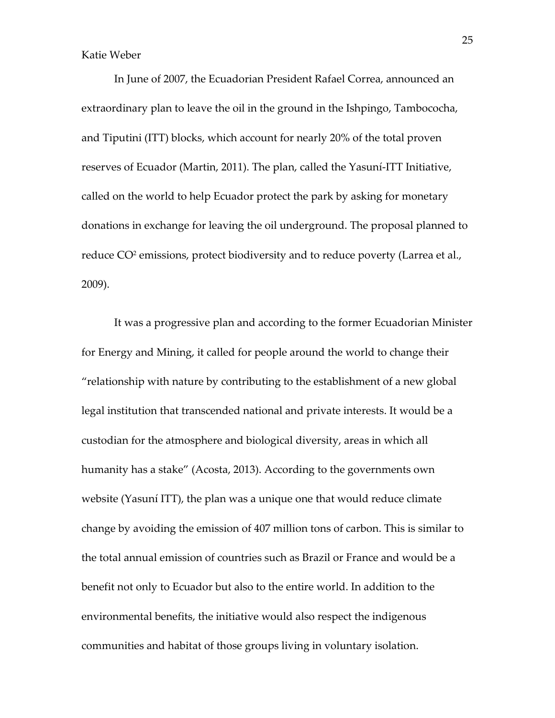In June of 2007, the Ecuadorian President Rafael Correa, announced an extraordinary plan to leave the oil in the ground in the Ishpingo, Tambococha, and Tiputini (ITT) blocks, which account for nearly 20% of the total proven reserves of Ecuador (Martin, 2011). The plan, called the Yasuní-ITT Initiative, called on the world to help Ecuador protect the park by asking for monetary donations in exchange for leaving the oil underground. The proposal planned to reduce CO<sup>2</sup> emissions, protect biodiversity and to reduce poverty (Larrea et al., 2009).

It was a progressive plan and according to the former Ecuadorian Minister for Energy and Mining, it called for people around the world to change their "relationship with nature by contributing to the establishment of a new global legal institution that transcended national and private interests. It would be a custodian for the atmosphere and biological diversity, areas in which all humanity has a stake" (Acosta, 2013). According to the governments own website (Yasuní ITT), the plan was a unique one that would reduce climate change by avoiding the emission of 407 million tons of carbon. This is similar to the total annual emission of countries such as Brazil or France and would be a benefit not only to Ecuador but also to the entire world. In addition to the environmental benefits, the initiative would also respect the indigenous communities and habitat of those groups living in voluntary isolation.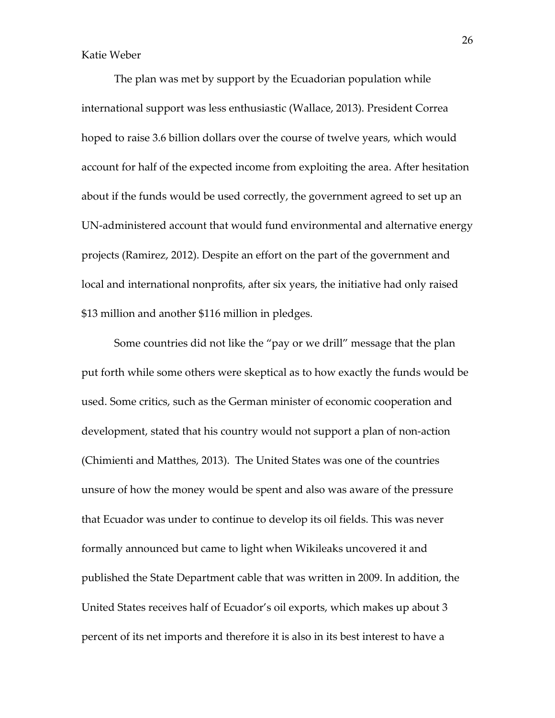The plan was met by support by the Ecuadorian population while international support was less enthusiastic (Wallace, 2013). President Correa hoped to raise 3.6 billion dollars over the course of twelve years, which would account for half of the expected income from exploiting the area. After hesitation about if the funds would be used correctly, the government agreed to set up an UN-administered account that would fund environmental and alternative energy projects (Ramirez, 2012). Despite an effort on the part of the government and local and international nonprofits, after six years, the initiative had only raised \$13 million and another \$116 million in pledges.

Some countries did not like the "pay or we drill" message that the plan put forth while some others were skeptical as to how exactly the funds would be used. Some critics, such as the German minister of economic cooperation and development, stated that his country would not support a plan of non-action (Chimienti and Matthes, 2013). The United States was one of the countries unsure of how the money would be spent and also was aware of the pressure that Ecuador was under to continue to develop its oil fields. This was never formally announced but came to light when Wikileaks uncovered it and published the State Department cable that was written in 2009. In addition, the United States receives half of Ecuador's oil exports, which makes up about 3 percent of its net imports and therefore it is also in its best interest to have a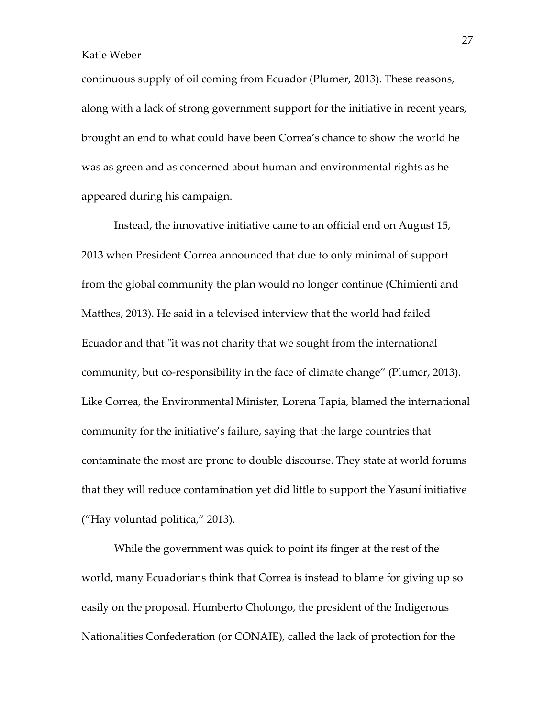continuous supply of oil coming from Ecuador (Plumer, 2013). These reasons, along with a lack of strong government support for the initiative in recent years, brought an end to what could have been Correa's chance to show the world he was as green and as concerned about human and environmental rights as he appeared during his campaign.

Instead, the innovative initiative came to an official end on August 15, 2013 when President Correa announced that due to only minimal of support from the global community the plan would no longer continue (Chimienti and Matthes, 2013). He said in a televised interview that the world had failed Ecuador and that "it was not charity that we sought from the international community, but co-responsibility in the face of climate change" (Plumer, 2013). Like Correa, the Environmental Minister, Lorena Tapia, blamed the international community for the initiative's failure, saying that the large countries that contaminate the most are prone to double discourse. They state at world forums that they will reduce contamination yet did little to support the Yasuní initiative ("Hay voluntad politica," 2013).

While the government was quick to point its finger at the rest of the world, many Ecuadorians think that Correa is instead to blame for giving up so easily on the proposal. Humberto Cholongo, the president of the Indigenous Nationalities Confederation (or CONAIE), called the lack of protection for the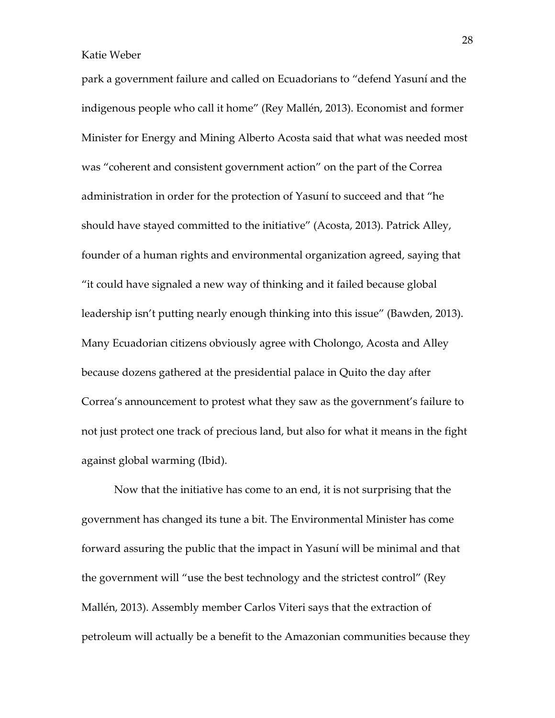park a government failure and called on Ecuadorians to "defend Yasuní and the indigenous people who call it home" (Rey Mallén, 2013). Economist and former Minister for Energy and Mining Alberto Acosta said that what was needed most was "coherent and consistent government action" on the part of the Correa administration in order for the protection of Yasuní to succeed and that "he should have stayed committed to the initiative" (Acosta, 2013). Patrick Alley, founder of a human rights and environmental organization agreed, saying that "it could have signaled a new way of thinking and it failed because global leadership isn't putting nearly enough thinking into this issue" (Bawden, 2013). Many Ecuadorian citizens obviously agree with Cholongo, Acosta and Alley because dozens gathered at the presidential palace in Quito the day after Correa's announcement to protest what they saw as the government's failure to not just protect one track of precious land, but also for what it means in the fight against global warming (Ibid).

Now that the initiative has come to an end, it is not surprising that the government has changed its tune a bit. The Environmental Minister has come forward assuring the public that the impact in Yasuní will be minimal and that the government will "use the best technology and the strictest control" (Rey Mallén, 2013). Assembly member Carlos Viteri says that the extraction of petroleum will actually be a benefit to the Amazonian communities because they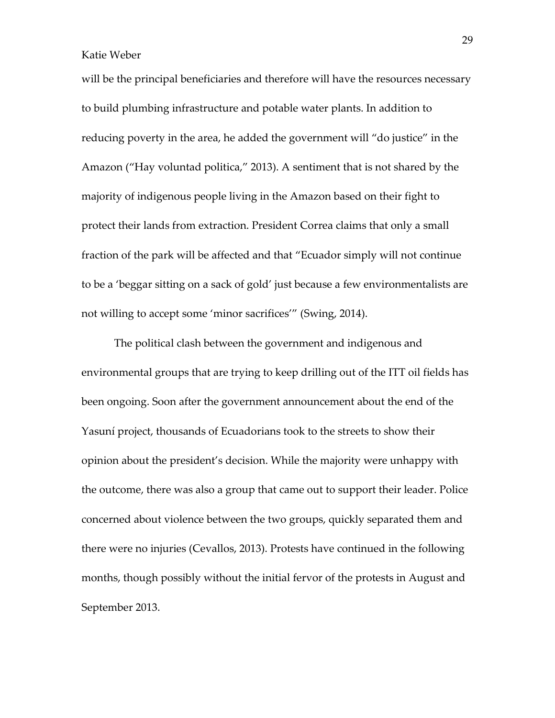will be the principal beneficiaries and therefore will have the resources necessary to build plumbing infrastructure and potable water plants. In addition to reducing poverty in the area, he added the government will "do justice" in the Amazon ("Hay voluntad politica," 2013). A sentiment that is not shared by the majority of indigenous people living in the Amazon based on their fight to protect their lands from extraction. President Correa claims that only a small fraction of the park will be affected and that "Ecuador simply will not continue to be a 'beggar sitting on a sack of gold' just because a few environmentalists are not willing to accept some 'minor sacrifices'" (Swing, 2014).

The political clash between the government and indigenous and environmental groups that are trying to keep drilling out of the ITT oil fields has been ongoing. Soon after the government announcement about the end of the Yasuní project, thousands of Ecuadorians took to the streets to show their opinion about the president's decision. While the majority were unhappy with the outcome, there was also a group that came out to support their leader. Police concerned about violence between the two groups, quickly separated them and there were no injuries (Cevallos, 2013). Protests have continued in the following months, though possibly without the initial fervor of the protests in August and September 2013.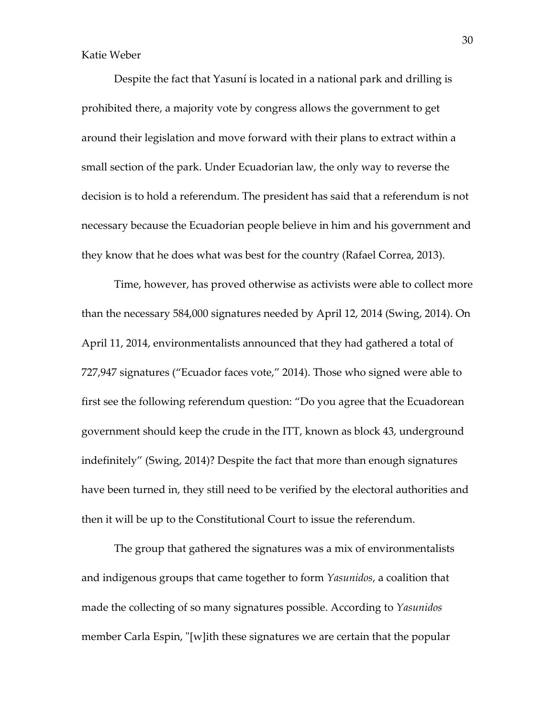Despite the fact that Yasuní is located in a national park and drilling is prohibited there, a majority vote by congress allows the government to get around their legislation and move forward with their plans to extract within a small section of the park. Under Ecuadorian law, the only way to reverse the decision is to hold a referendum. The president has said that a referendum is not necessary because the Ecuadorian people believe in him and his government and they know that he does what was best for the country (Rafael Correa, 2013).

Time, however, has proved otherwise as activists were able to collect more than the necessary 584,000 signatures needed by April 12, 2014 (Swing, 2014). On April 11, 2014, environmentalists announced that they had gathered a total of 727,947 signatures ("Ecuador faces vote," 2014). Those who signed were able to first see the following referendum question: "Do you agree that the Ecuadorean government should keep the crude in the ITT, known as block 43, underground indefinitely" (Swing, 2014)? Despite the fact that more than enough signatures have been turned in, they still need to be verified by the electoral authorities and then it will be up to the Constitutional Court to issue the referendum.

The group that gathered the signatures was a mix of environmentalists and indigenous groups that came together to form Yasunidos, a coalition that made the collecting of so many signatures possible. According to Yasunidos member Carla Espin, "[w]ith these signatures we are certain that the popular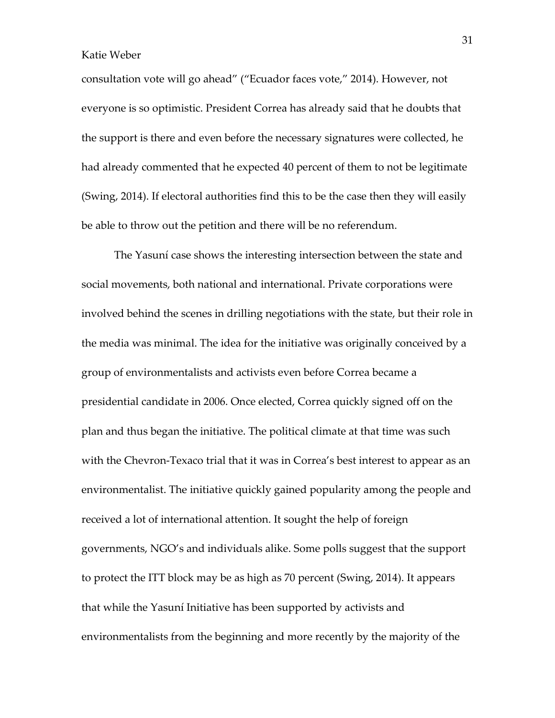consultation vote will go ahead" ("Ecuador faces vote," 2014). However, not everyone is so optimistic. President Correa has already said that he doubts that the support is there and even before the necessary signatures were collected, he had already commented that he expected 40 percent of them to not be legitimate (Swing, 2014). If electoral authorities find this to be the case then they will easily be able to throw out the petition and there will be no referendum.

The Yasuní case shows the interesting intersection between the state and social movements, both national and international. Private corporations were involved behind the scenes in drilling negotiations with the state, but their role in the media was minimal. The idea for the initiative was originally conceived by a group of environmentalists and activists even before Correa became a presidential candidate in 2006. Once elected, Correa quickly signed off on the plan and thus began the initiative. The political climate at that time was such with the Chevron-Texaco trial that it was in Correa's best interest to appear as an environmentalist. The initiative quickly gained popularity among the people and received a lot of international attention. It sought the help of foreign governments, NGO's and individuals alike. Some polls suggest that the support to protect the ITT block may be as high as 70 percent (Swing, 2014). It appears that while the Yasuní Initiative has been supported by activists and environmentalists from the beginning and more recently by the majority of the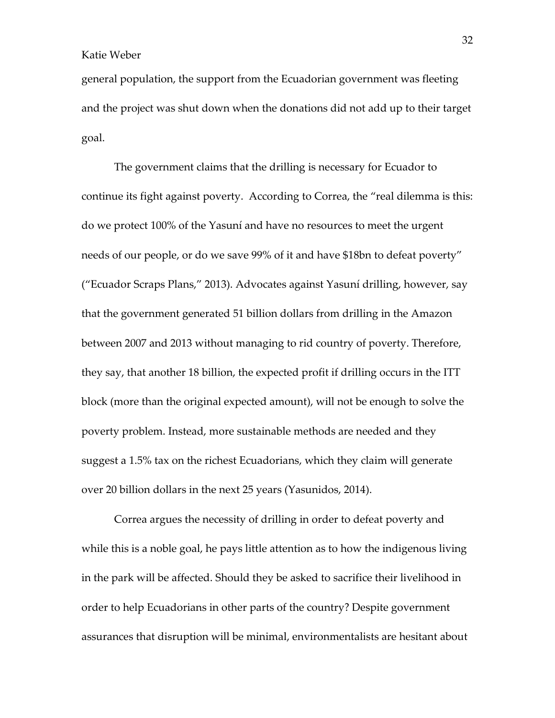general population, the support from the Ecuadorian government was fleeting and the project was shut down when the donations did not add up to their target goal.

The government claims that the drilling is necessary for Ecuador to continue its fight against poverty. According to Correa, the "real dilemma is this: do we protect 100% of the Yasuní and have no resources to meet the urgent needs of our people, or do we save 99% of it and have \$18bn to defeat poverty" ("Ecuador Scraps Plans," 2013). Advocates against Yasuní drilling, however, say that the government generated 51 billion dollars from drilling in the Amazon between 2007 and 2013 without managing to rid country of poverty. Therefore, they say, that another 18 billion, the expected profit if drilling occurs in the ITT block (more than the original expected amount), will not be enough to solve the poverty problem. Instead, more sustainable methods are needed and they suggest a 1.5% tax on the richest Ecuadorians, which they claim will generate over 20 billion dollars in the next 25 years (Yasunidos, 2014).

Correa argues the necessity of drilling in order to defeat poverty and while this is a noble goal, he pays little attention as to how the indigenous living in the park will be affected. Should they be asked to sacrifice their livelihood in order to help Ecuadorians in other parts of the country? Despite government assurances that disruption will be minimal, environmentalists are hesitant about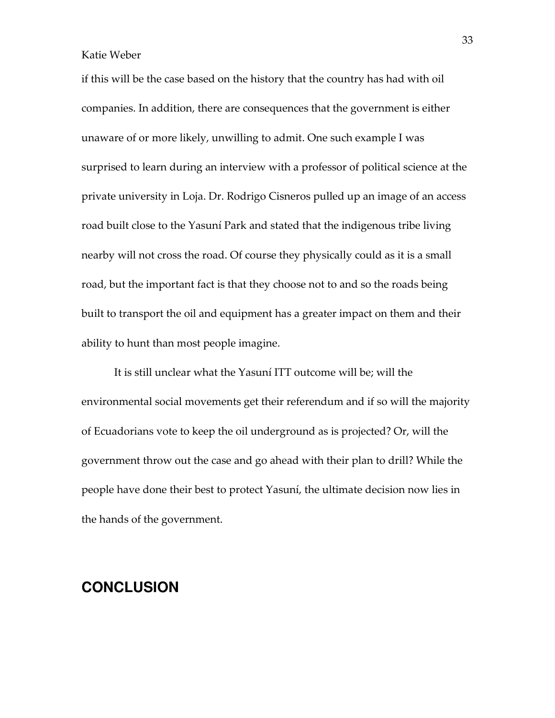if this will be the case based on the history that the country has had with oil companies. In addition, there are consequences that the government is either unaware of or more likely, unwilling to admit. One such example I was surprised to learn during an interview with a professor of political science at the private university in Loja. Dr. Rodrigo Cisneros pulled up an image of an access road built close to the Yasuní Park and stated that the indigenous tribe living nearby will not cross the road. Of course they physically could as it is a small road, but the important fact is that they choose not to and so the roads being built to transport the oil and equipment has a greater impact on them and their ability to hunt than most people imagine.

It is still unclear what the Yasuní ITT outcome will be; will the environmental social movements get their referendum and if so will the majority of Ecuadorians vote to keep the oil underground as is projected? Or, will the government throw out the case and go ahead with their plan to drill? While the people have done their best to protect Yasuní, the ultimate decision now lies in the hands of the government.

### **CONCLUSION**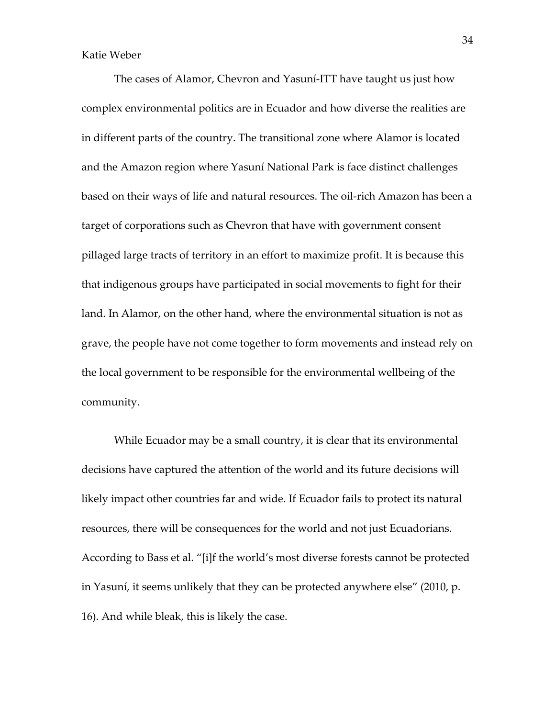The cases of Alamor, Chevron and Yasuní-ITT have taught us just how complex environmental politics are in Ecuador and how diverse the realities are in different parts of the country. The transitional zone where Alamor is located and the Amazon region where Yasuní National Park is face distinct challenges based on their ways of life and natural resources. The oil-rich Amazon has been a target of corporations such as Chevron that have with government consent pillaged large tracts of territory in an effort to maximize profit. It is because this that indigenous groups have participated in social movements to fight for their land. In Alamor, on the other hand, where the environmental situation is not as grave, the people have not come together to form movements and instead rely on the local government to be responsible for the environmental wellbeing of the community.

While Ecuador may be a small country, it is clear that its environmental decisions have captured the attention of the world and its future decisions will likely impact other countries far and wide. If Ecuador fails to protect its natural resources, there will be consequences for the world and not just Ecuadorians. According to Bass et al. "[i]f the world's most diverse forests cannot be protected in Yasuní, it seems unlikely that they can be protected anywhere else" (2010, p. 16). And while bleak, this is likely the case.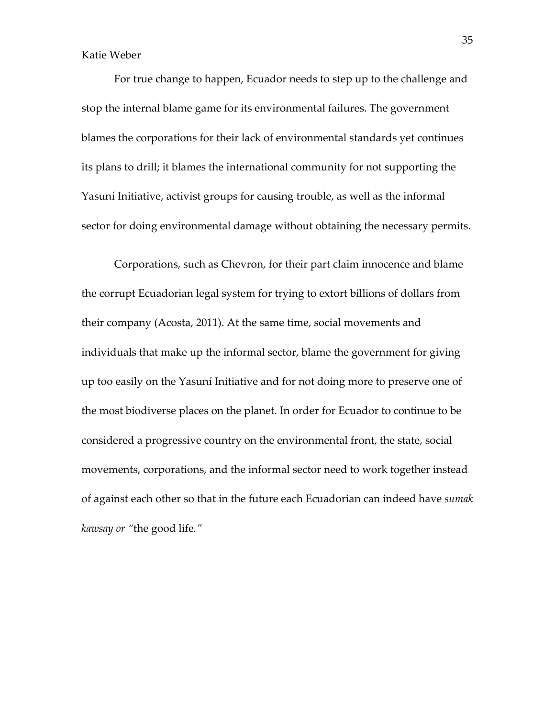For true change to happen, Ecuador needs to step up to the challenge and stop the internal blame game for its environmental failures. The government blames the corporations for their lack of environmental standards yet continues its plans to drill; it blames the international community for not supporting the Yasuní Initiative, activist groups for causing trouble, as well as the informal sector for doing environmental damage without obtaining the necessary permits.

Corporations, such as Chevron, for their part claim innocence and blame the corrupt Ecuadorian legal system for trying to extort billions of dollars from their company (Acosta, 2011). At the same time, social movements and individuals that make up the informal sector, blame the government for giving up too easily on the Yasuní Initiative and for not doing more to preserve one of the most biodiverse places on the planet. In order for Ecuador to continue to be considered a progressive country on the environmental front, the state, social movements, corporations, and the informal sector need to work together instead of against each other so that in the future each Ecuadorian can indeed have sumak kawsay or "the good life."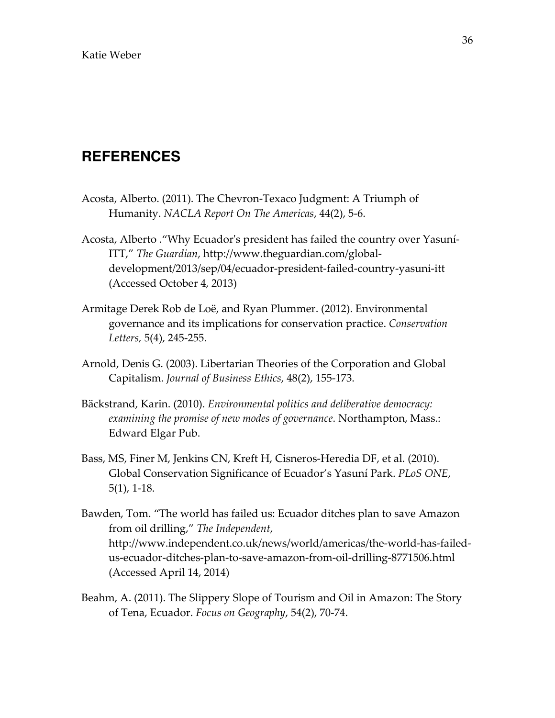### **REFERENCES**

- Acosta, Alberto. (2011). The Chevron-Texaco Judgment: A Triumph of Humanity. NACLA Report On The Americas, 44(2), 5-6.
- Acosta, Alberto ."Why Ecuador's president has failed the country over Yasuní-ITT," The Guardian, http://www.theguardian.com/globaldevelopment/2013/sep/04/ecuador-president-failed-country-yasuni-itt (Accessed October 4, 2013)
- Armitage Derek Rob de Loë, and Ryan Plummer. (2012). Environmental governance and its implications for conservation practice. Conservation Letters, 5(4), 245-255.
- Arnold, Denis G. (2003). Libertarian Theories of the Corporation and Global Capitalism. Journal of Business Ethics, 48(2), 155-173.
- Bäckstrand, Karin. (2010). Environmental politics and deliberative democracy: examining the promise of new modes of governance. Northampton, Mass.: Edward Elgar Pub.
- Bass, MS, Finer M, Jenkins CN, Kreft H, Cisneros-Heredia DF, et al. (2010). Global Conservation Significance of Ecuador's Yasuní Park. PLoS ONE, 5(1), 1-18.
- Bawden, Tom. "The world has failed us: Ecuador ditches plan to save Amazon from oil drilling," The Independent, http://www.independent.co.uk/news/world/americas/the-world-has-failedus-ecuador-ditches-plan-to-save-amazon-from-oil-drilling-8771506.html (Accessed April 14, 2014)
- Beahm, A. (2011). The Slippery Slope of Tourism and Oil in Amazon: The Story of Tena, Ecuador. Focus on Geography, 54(2), 70-74.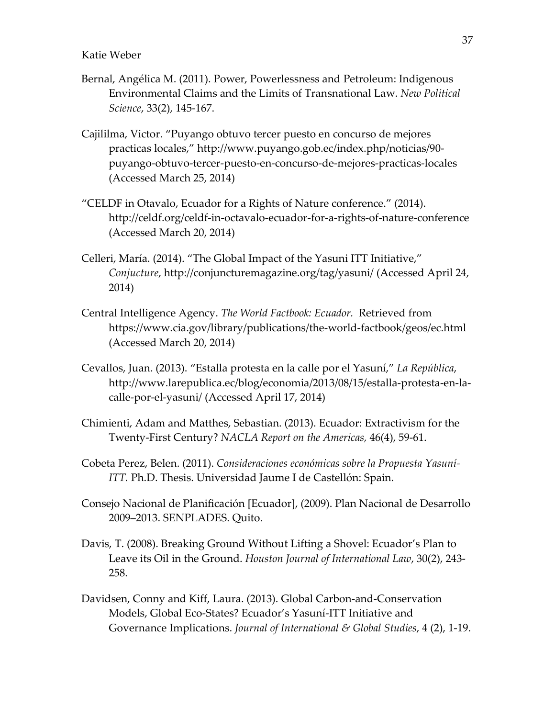- Bernal, Angélica M. (2011). Power, Powerlessness and Petroleum: Indigenous Environmental Claims and the Limits of Transnational Law. New Political Science, 33(2), 145-167.
- Cajililma, Victor. "Puyango obtuvo tercer puesto en concurso de mejores practicas locales," http://www.puyango.gob.ec/index.php/noticias/90 puyango-obtuvo-tercer-puesto-en-concurso-de-mejores-practicas-locales (Accessed March 25, 2014)
- "CELDF in Otavalo, Ecuador for a Rights of Nature conference." (2014). http://celdf.org/celdf-in-octavalo-ecuador-for-a-rights-of-nature-conference (Accessed March 20, 2014)
- Celleri, María. (2014). "The Global Impact of the Yasuni ITT Initiative," Conjucture, http://conjuncturemagazine.org/tag/yasuni/ (Accessed April 24, 2014)
- Central Intelligence Agency. The World Factbook: Ecuador. Retrieved from https://www.cia.gov/library/publications/the-world-factbook/geos/ec.html (Accessed March 20, 2014)
- Cevallos, Juan. (2013). "Estalla protesta en la calle por el Yasuní," La República, http://www.larepublica.ec/blog/economia/2013/08/15/estalla-protesta-en-lacalle-por-el-yasuni/ (Accessed April 17, 2014)
- Chimienti, Adam and Matthes, Sebastian. (2013). Ecuador: Extractivism for the Twenty-First Century? NACLA Report on the Americas, 46(4), 59-61.
- Cobeta Perez, Belen. (2011). Consideraciones económicas sobre la Propuesta Yasuní-ITT. Ph.D. Thesis. Universidad Jaume I de Castellón: Spain.
- Consejo Nacional de Planificación [Ecuador], (2009). Plan Nacional de Desarrollo 2009–2013. SENPLADES. Quito.
- Davis, T. (2008). Breaking Ground Without Lifting a Shovel: Ecuador's Plan to Leave its Oil in the Ground. Houston Journal of International Law, 30(2), 243- 258.
- Davidsen, Conny and Kiff, Laura. (2013). Global Carbon-and-Conservation Models, Global Eco-States? Ecuador's Yasuní-ITT Initiative and Governance Implications. Journal of International & Global Studies,  $4(2)$ , 1-19.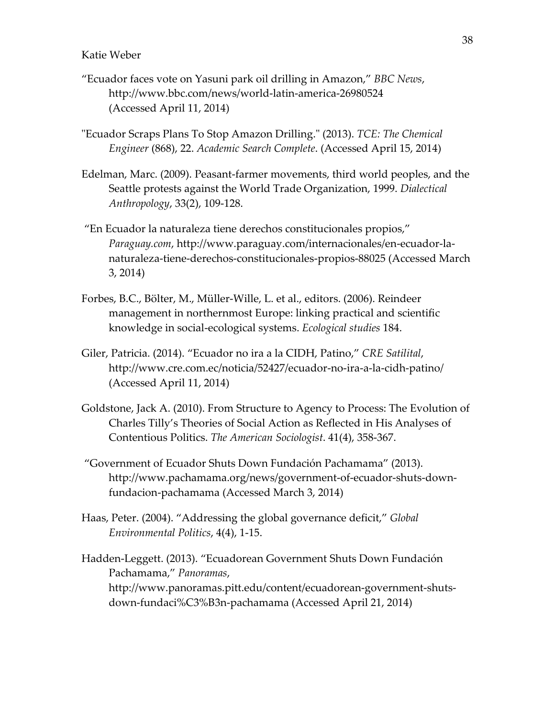- "Ecuador faces vote on Yasuni park oil drilling in Amazon," BBC News, http://www.bbc.com/news/world-latin-america-26980524 (Accessed April 11, 2014)
- "Ecuador Scraps Plans To Stop Amazon Drilling." (2013). TCE: The Chemical Engineer (868), 22. Academic Search Complete. (Accessed April 15, 2014)
- Edelman, Marc. (2009). Peasant-farmer movements, third world peoples, and the Seattle protests against the World Trade Organization, 1999. Dialectical Anthropology, 33(2), 109-128.
- "En Ecuador la naturaleza tiene derechos constitucionales propios," Paraguay.com, http://www.paraguay.com/internacionales/en-ecuador-lanaturaleza-tiene-derechos-constitucionales-propios-88025 (Accessed March 3, 2014)
- Forbes, B.C., Bölter, M., Müller-Wille, L. et al., editors. (2006). Reindeer management in northernmost Europe: linking practical and scientific knowledge in social-ecological systems. Ecological studies 184.
- Giler, Patricia. (2014). "Ecuador no ira a la CIDH, Patino," CRE Satilital, http://www.cre.com.ec/noticia/52427/ecuador-no-ira-a-la-cidh-patino/ (Accessed April 11, 2014)
- Goldstone, Jack A. (2010). From Structure to Agency to Process: The Evolution of Charles Tilly's Theories of Social Action as Reflected in His Analyses of Contentious Politics. The American Sociologist. 41(4), 358-367.
- "Government of Ecuador Shuts Down Fundación Pachamama" (2013). http://www.pachamama.org/news/government-of-ecuador-shuts-downfundacion-pachamama (Accessed March 3, 2014)
- Haas, Peter. (2004). "Addressing the global governance deficit," Global Environmental Politics, 4(4), 1-15.
- Hadden-Leggett. (2013). "Ecuadorean Government Shuts Down Fundación Pachamama," Panoramas, http://www.panoramas.pitt.edu/content/ecuadorean-government-shutsdown-fundaci%C3%B3n-pachamama (Accessed April 21, 2014)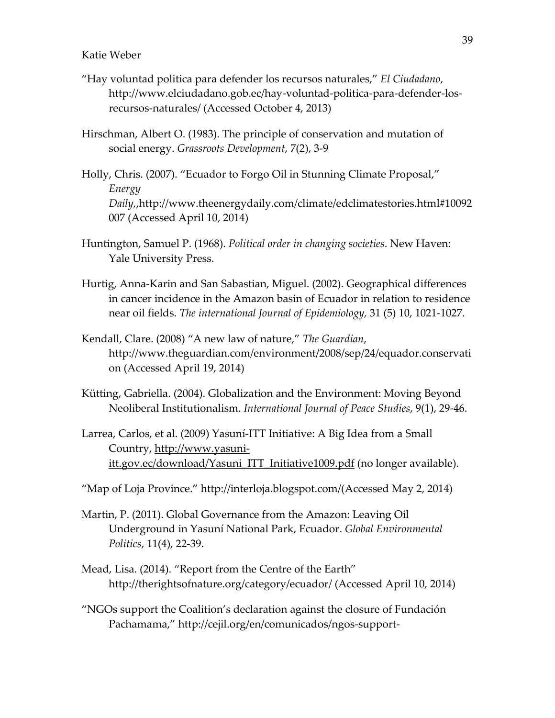- "Hay voluntad politica para defender los recursos naturales," El Ciudadano, http://www.elciudadano.gob.ec/hay-voluntad-politica-para-defender-losrecursos-naturales/ (Accessed October 4, 2013)
- Hirschman, Albert O. (1983). The principle of conservation and mutation of social energy. Grassroots Development, 7(2), 3-9
- Holly, Chris. (2007). "Ecuador to Forgo Oil in Stunning Climate Proposal," Energy Daily,,http://www.theenergydaily.com/climate/edclimatestories.html#10092 007 (Accessed April 10, 2014)
- Huntington, Samuel P. (1968). Political order in changing societies. New Haven: Yale University Press.
- Hurtig, Anna-Karin and San Sabastian, Miguel. (2002). Geographical differences in cancer incidence in the Amazon basin of Ecuador in relation to residence near oil fields. The international Journal of Epidemiology, 31 (5) 10, 1021-1027.
- Kendall, Clare. (2008) "A new law of nature," The Guardian, http://www.theguardian.com/environment/2008/sep/24/equador.conservati on (Accessed April 19, 2014)
- Kütting, Gabriella. (2004). Globalization and the Environment: Moving Beyond Neoliberal Institutionalism. International Journal of Peace Studies, 9(1), 29-46.
- Larrea, Carlos, et al. (2009) Yasuní-ITT Initiative: A Big Idea from a Small Country, http://www.yasuniitt.gov.ec/download/Yasuni\_ITT\_Initiative1009.pdf (no longer available).
- "Map of Loja Province." http://interloja.blogspot.com/(Accessed May 2, 2014)
- Martin, P. (2011). Global Governance from the Amazon: Leaving Oil Underground in Yasuní National Park, Ecuador. Global Environmental Politics, 11(4), 22-39.
- Mead, Lisa. (2014). "Report from the Centre of the Earth" http://therightsofnature.org/category/ecuador/ (Accessed April 10, 2014)
- "NGOs support the Coalition's declaration against the closure of Fundación Pachamama," http://cejil.org/en/comunicados/ngos-support-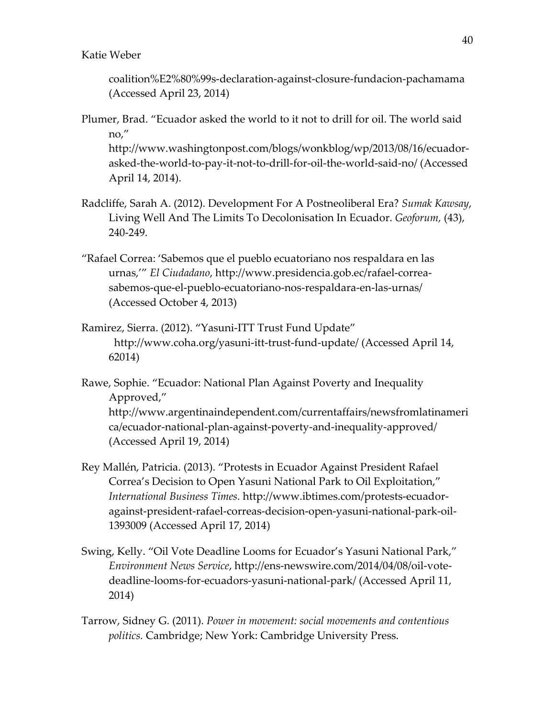coalition%E2%80%99s-declaration-against-closure-fundacion-pachamama (Accessed April 23, 2014)

Plumer, Brad. "Ecuador asked the world to it not to drill for oil. The world said no,"

http://www.washingtonpost.com/blogs/wonkblog/wp/2013/08/16/ecuadorasked-the-world-to-pay-it-not-to-drill-for-oil-the-world-said-no/ (Accessed April 14, 2014).

- Radcliffe, Sarah A. (2012). Development For A Postneoliberal Era? Sumak Kawsay, Living Well And The Limits To Decolonisation In Ecuador. Geoforum, (43), 240-249.
- "Rafael Correa: 'Sabemos que el pueblo ecuatoriano nos respaldara en las urnas,'" El Ciudadano, http://www.presidencia.gob.ec/rafael-correasabemos-que-el-pueblo-ecuatoriano-nos-respaldara-en-las-urnas/ (Accessed October 4, 2013)
- Ramirez, Sierra. (2012). "Yasuni-ITT Trust Fund Update" http://www.coha.org/yasuni-itt-trust-fund-update/ (Accessed April 14, 62014)
- Rawe, Sophie. "Ecuador: National Plan Against Poverty and Inequality Approved," http://www.argentinaindependent.com/currentaffairs/newsfromlatinameri ca/ecuador-national-plan-against-poverty-and-inequality-approved/ (Accessed April 19, 2014)
- Rey Mallén, Patricia. (2013). "Protests in Ecuador Against President Rafael Correa's Decision to Open Yasuni National Park to Oil Exploitation," International Business Times. http://www.ibtimes.com/protests-ecuadoragainst-president-rafael-correas-decision-open-yasuni-national-park-oil-1393009 (Accessed April 17, 2014)
- Swing, Kelly. "Oil Vote Deadline Looms for Ecuador's Yasuni National Park," Environment News Service, http://ens-newswire.com/2014/04/08/oil-votedeadline-looms-for-ecuadors-yasuni-national-park/ (Accessed April 11, 2014)
- Tarrow, Sidney G. (2011). Power in movement: social movements and contentious politics. Cambridge; New York: Cambridge University Press.